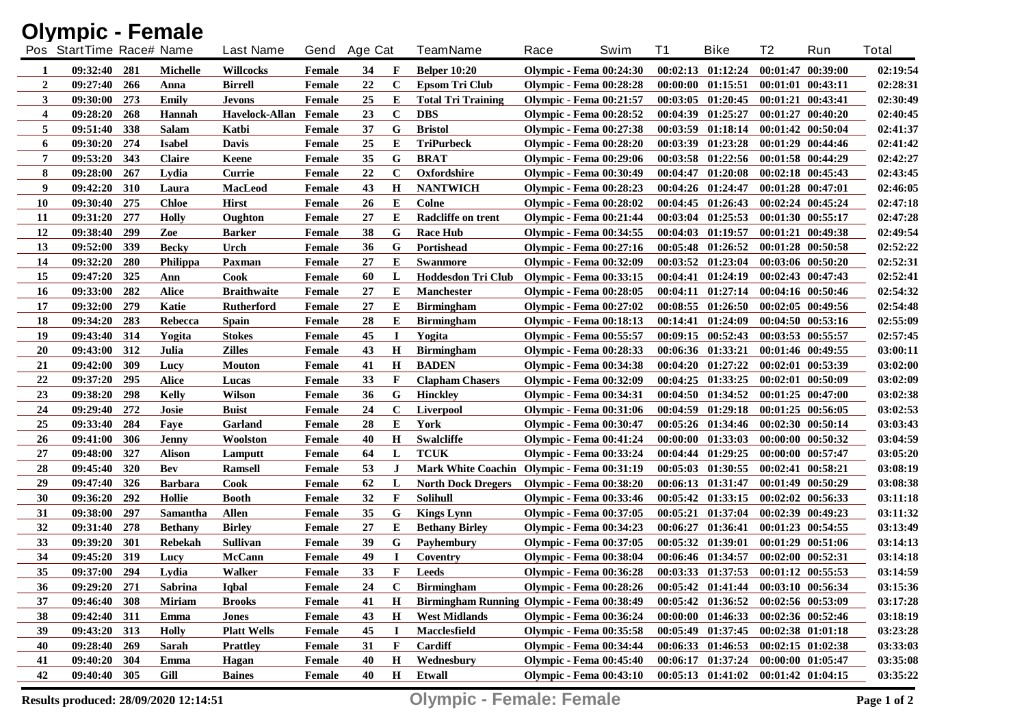|                  | <b>Olympic - Female</b>  |            |                |                    |               |              |              |                                            |      |                                |          |                       |                   |                       |              |
|------------------|--------------------------|------------|----------------|--------------------|---------------|--------------|--------------|--------------------------------------------|------|--------------------------------|----------|-----------------------|-------------------|-----------------------|--------------|
|                  | Pos StartTime Race# Name |            |                | <b>Last Name</b>   |               | Gend Age Cat |              | <b>TeamName</b>                            | Race | Swim                           | T1       | <b>Bike</b>           | T <sub>2</sub>    | Run                   | <b>Total</b> |
| 1                | 09:32:40                 | 281        | Michelle       | <b>Willcocks</b>   | Female        | 34           | F            | <b>Belper 10:20</b>                        |      | <b>Olympic - Fema 00:24:30</b> | 00:02:13 | 01:12:24              |                   | 00:01:47 00:39:00     | 02:19:54     |
| $\overline{2}$   | 09:27:40                 | 266        | Anna           | <b>Birrell</b>     | Female        | 22           | $\mathbf C$  | <b>Epsom Tri Club</b>                      |      | <b>Olympic - Fema 00:28:28</b> |          | 00:00:00 01:15:51     |                   | $00:01:01$ $00:43:11$ | 02:28:31     |
| 3                | 09:30:00                 | 273        | Emily          | <b>Jevons</b>      | <b>Female</b> | 25           | E            | <b>Total Tri Training</b>                  |      | <b>Olympic - Fema 00:21:57</b> |          | 00:03:05 01:20:45     |                   | 00:01:21 00:43:41     | 02:30:49     |
| $\boldsymbol{4}$ | 09:28:20                 | 268        | <b>Hannah</b>  | Havelock-Allan     | Female        | 23           | $\mathbf C$  | <b>DBS</b>                                 |      | <b>Olympic - Fema 00:28:52</b> | 00:04:39 | 01:25:27              |                   | 00:01:27 00:40:20     | 02:40:45     |
| 5                | 09:51:40                 | 338        | <b>Salam</b>   | Katbi              | Female        | 37           | G            | <b>Bristol</b>                             |      | <b>Olympic - Fema 00:27:38</b> | 00:03:59 | 01:18:14              |                   | 00:01:42 00:50:04     | 02:41:37     |
| 6                | 09:30:20                 | 274        | <b>Isabel</b>  | <b>Davis</b>       | <b>Female</b> | 25           | E            | <b>TriPurbeck</b>                          |      | <b>Olympic - Fema 00:28:20</b> | 00:03:39 | 01:23:28              |                   | 00:01:29 00:44:46     | 02:41:42     |
| 7                | 09:53:20                 | 343        | <b>Claire</b>  | Keene              | <b>Female</b> | 35           | G            | <b>BRAT</b>                                |      | <b>Olympic - Fema 00:29:06</b> | 00:03:58 | 01:22:56              |                   | 00:01:58 00:44:29     | 02:42:27     |
| 8                | 09:28:00                 | 267        | Lydia          | Currie             | <b>Female</b> | 22           | $\mathbf C$  | Oxfordshire                                |      | <b>Olympic - Fema 00:30:49</b> | 00:04:47 | 01:20:08              |                   | $00:02:18$ $00:45:43$ | 02:43:45     |
| 9                | 09:42:20                 | 310        | Laura          | MacLeod            | <b>Female</b> | 43           | $\mathbf H$  | <b>NANTWICH</b>                            |      | <b>Olympic - Fema 00:28:23</b> |          | 00:04:26 01:24:47     |                   | 00:01:28 00:47:01     | 02:46:05     |
| <b>10</b>        | 09:30:40                 | 275        | <b>Chloe</b>   | <b>Hirst</b>       | Female        | 26           | E            | <b>Colne</b>                               |      | <b>Olympic - Fema 00:28:02</b> |          | 00:04:45 01:26:43     |                   | 00:02:24 00:45:24     | 02:47:18     |
| <b>11</b>        | 09:31:20                 | 277        | <b>Holly</b>   | Oughton            | Female        | 27           | Е            | Radcliffe on trent                         |      | <b>Olympic - Fema 00:21:44</b> |          | 00:03:04 01:25:53     |                   | $00:01:30$ $00:55:17$ | 02:47:28     |
| 12               | 09:38:40                 | 299        | Zoe            | <b>Barker</b>      | <b>Female</b> | 38           | G            | <b>Race Hub</b>                            |      | <b>Olympic - Fema 00:34:55</b> |          | 00:04:03 01:19:57     |                   | 00:01:21 00:49:38     | 02:49:54     |
| 13               | 09:52:00                 | 339        | <b>Becky</b>   | Urch               | Female        | 36           | G            | Portishead                                 |      | <b>Olympic - Fema 00:27:16</b> |          | 00:05:48 01:26:52     |                   | 00:01:28 00:50:58     | 02:52:22     |
| 14               | 09:32:20                 | <b>280</b> | Philippa       | Paxman             | <b>Female</b> | 27           | E            | <b>Swanmore</b>                            |      | <b>Olympic - Fema 00:32:09</b> |          | 00:03:52 01:23:04     |                   | 00:03:06 00:50:20     | 02:52:31     |
| 15               | 09:47:20                 | 325        | Ann            | Cook               | <b>Female</b> | 60           | L            | Hoddesdon Tri Club                         |      | <b>Olympic - Fema 00:33:15</b> |          | 00:04:41 01:24:19     |                   | $00:02:43$ $00:47:43$ | 02:52:41     |
| <b>16</b>        | 09:33:00                 | 282        | <b>Alice</b>   | <b>Braithwaite</b> | Female        | 27           | E            | Manchester                                 |      | <b>Olympic - Fema 00:28:05</b> |          | $00:04:11$ $01:27:14$ |                   | $00:04:16$ $00:50:46$ | 02:54:32     |
| 17               | 09:32:00                 | 279        | Katie          | <b>Rutherford</b>  | <b>Female</b> | 27           | E            | <b>Birmingham</b>                          |      | <b>Olympic - Fema 00:27:02</b> |          | $00:08:55$ $01:26:50$ |                   | $00:02:05$ $00:49:56$ | 02:54:48     |
| 18               | 09:34:20                 | 283        | Rebecca        | <b>Spain</b>       | <b>Female</b> | 28           | Е            | <b>Birmingham</b>                          |      | <b>Olympic - Fema 00:18:13</b> |          | $00:14:41$ $01:24:09$ |                   | 00:04:50 00:53:16     | 02:55:09     |
| 19               | 09:43:40 314             |            | Yogita         | <b>Stokes</b>      | <b>Female</b> | 45           | $\bf{I}$     | Yogita                                     |      | <b>Olympic - Fema 00:55:57</b> |          | $00:09:15$ $00:52:43$ |                   | $00:03:53$ $00:55:57$ | 02:57:45     |
| <b>20</b>        | 09:43:00                 | 312        | Julia          | <b>Zilles</b>      | <b>Female</b> | 43           | $\mathbf H$  | <b>Birmingham</b>                          |      | <b>Olympic - Fema 00:28:33</b> |          | 00:06:36 01:33:21     |                   | $00:01:46$ $00:49:55$ | 03:00:11     |
| 21               | 09:42:00                 | 309        | Lucy           | <b>Mouton</b>      | <b>Female</b> | 41           | H            | <b>BADEN</b>                               |      | <b>Olympic - Fema 00:34:38</b> |          | $00:04:20$ $01:27:22$ |                   | 00:02:01 00:53:39     | 03:02:00     |
| 22               | 09:37:20                 | 295        | <b>Alice</b>   | Lucas              | <b>Female</b> | 33           | F            | <b>Clapham Chasers</b>                     |      | <b>Olympic - Fema 00:32:09</b> |          | $00:04:25$ $01:33:25$ |                   | 00:02:01 00:50:09     | 03:02:09     |
| 23               | 09:38:20                 | 298        | <b>Kelly</b>   | <b>Wilson</b>      | Female        | 36           | G            | <b>Hinckley</b>                            |      | <b>Olympic - Fema 00:34:31</b> |          | 00:04:50 01:34:52     |                   | $00:01:25$ $00:47:00$ | 03:02:38     |
| 24               | 09:29:40                 | 272        | Josie          | <b>Buist</b>       | <b>Female</b> | 24           | $\mathbf C$  | Liverpool                                  |      | <b>Olympic - Fema 00:31:06</b> |          | 00:04:59 01:29:18     |                   | $00:01:25$ $00:56:05$ | 03:02:53     |
| 25               | 09:33:40                 | 284        | Faye           | Garland            | <b>Female</b> | 28           | E            | York                                       |      | <b>Olympic - Fema 00:30:47</b> |          | $00:05:26$ $01:34:46$ |                   | 00:02:30 00:50:14     | 03:03:43     |
| 26               | 09:41:00                 | 306        | <b>Jenny</b>   | Woolston           | <b>Female</b> | 40           | H            | <b>Swalcliffe</b>                          |      | <b>Olympic - Fema 00:41:24</b> |          | $00:00:00$ $01:33:03$ |                   | 00:00:00 00:50:32     | 03:04:59     |
| 27               | 09:48:00                 | 327        | <b>Alison</b>  | Lamputt            | <b>Female</b> | 64           | L            | <b>TCUK</b>                                |      | <b>Olympic - Fema 00:33:24</b> |          | 00:04:44 01:29:25     |                   | 00:00:00 00:57:47     | 03:05:20     |
| 28               | 09:45:40                 | 320        | <b>Bev</b>     | <b>Ramsell</b>     | <b>Female</b> | 53           | $\bf J$      | Mark White Coachin Olympic - Fema 00:31:19 |      |                                |          | $00:05:03$ $01:30:55$ |                   | $00:02:41$ $00:58:21$ | 03:08:19     |
| 29               | 09:47:40                 | 326        | <b>Barbara</b> | Cook               | <b>Female</b> | 62           | L            | <b>North Dock Dregers</b>                  |      | <b>Olympic - Fema 00:38:20</b> |          | 00:06:13 01:31:47     |                   | 00:01:49 00:50:29     | 03:08:38     |
| 30               | 09:36:20                 | 292        | Hollie         | <b>Booth</b>       | <b>Female</b> | 32           | $\mathbf{F}$ | <b>Solihull</b>                            |      | <b>Olympic - Fema 00:33:46</b> |          | 00:05:42 01:33:15     |                   | $00:02:02$ $00:56:33$ | 03:11:18     |
| 31               | 09:38:00                 | 297        | Samantha       | <b>Allen</b>       | <b>Female</b> | 35           | G            | <b>Kings Lynn</b>                          |      | <b>Olympic - Fema 00:37:05</b> |          | 00:05:21 01:37:04     |                   | 00:02:39 00:49:23     | 03:11:32     |
| 32               | 09:31:40                 | 278        | <b>Bethany</b> | <b>Birley</b>      | <b>Female</b> | 27           | E            | <b>Bethany Birley</b>                      |      | <b>Olympic - Fema 00:34:23</b> | 00:06:27 | 01:36:41              |                   | $00:01:23$ $00:54:55$ | 03:13:49     |
| 33               | 09:39:20                 | 301        | <b>Rebekah</b> | Sullivan           | <b>Female</b> | 39           | G            | Payhembury                                 |      | <b>Olympic - Fema 00:37:05</b> |          | 00:05:32 01:39:01     |                   | 00:01:29 00:51:06     | 03:14:13     |
| 34               | 09:45:20 319             |            | Lucy           | McCann             | Female        | 49           | 1            | Coventry                                   |      | <b>Olympic - Fema 00:38:04</b> |          | 00:06:46 01:34:57     |                   | $00:02:00$ $00:52:31$ | 03:14:18     |
| 35               | 09:37:00 294             |            | Lydia          | Walker             | Female        | 33           | $\mathbf{F}$ | <b>Leeds</b>                               |      | <b>Olympic - Fema 00:36:28</b> |          | 00:03:33 01:37:53     | 00:01:12 00:55:53 |                       | 03:14:59     |
| 36               | 09:29:20                 | 271        | Sabrina        | <b>Iqbal</b>       | Female        | 24           | $\mathbf C$  | <b>Birmingham</b>                          |      | <b>Olympic - Fema 00:28:26</b> |          | $00:05:42$ $01:41:44$ |                   | 00:03:10 00:56:34     | 03:15:36     |
| 37               | 09:46:40 308             |            | <b>Miriam</b>  | <b>Brooks</b>      | <b>Female</b> | 41           | H            | Birmingham Running Olympic - Fema 00:38:49 |      |                                |          | 00:05:42 01:36:52     |                   | 00:02:56 00:53:09     | 03:17:28     |
| 38               | 09:42:40 311             |            | Emma           | <b>Jones</b>       | <b>Female</b> | 43           | $\mathbf H$  | <b>West Midlands</b>                       |      | <b>Olympic - Fema 00:36:24</b> |          | 00:00:00 01:46:33     |                   | 00:02:36 00:52:46     | 03:18:19     |
| 39               | 09:43:20 313             |            | <b>Holly</b>   | <b>Platt Wells</b> | <b>Female</b> | 45           | $\bf{I}$     | Macclesfield                               |      | <b>Olympic - Fema 00:35:58</b> |          | 00:05:49 01:37:45     |                   | 00:02:38 01:01:18     | 03:23:28     |
| 40               | 09:28:40 269             |            | Sarah          | <b>Prattley</b>    | <b>Female</b> | 31           | F            | Cardiff                                    |      | <b>Olympic - Fema 00:34:44</b> |          | 00:06:33 01:46:53     |                   | $00:02:15$ $01:02:38$ | 03:33:03     |
| 41               | 09:40:20                 | 304        | Emma           | Hagan              | <b>Female</b> | 40           | H            | Wednesbury                                 |      | <b>Olympic - Fema 00:45:40</b> |          | 00:06:17 01:37:24     |                   | 00:00:00 01:05:47     | 03:35:08     |
| 42               | 09:40:40 305             |            | Gill           | <b>Baines</b>      | <b>Female</b> | 40           | $\mathbf H$  | Etwall                                     |      | <b>Olympic - Fema 00:43:10</b> |          | $00:05:13$ $01:41:02$ |                   | $00:01:42$ $01:04:15$ | 03:35:22     |